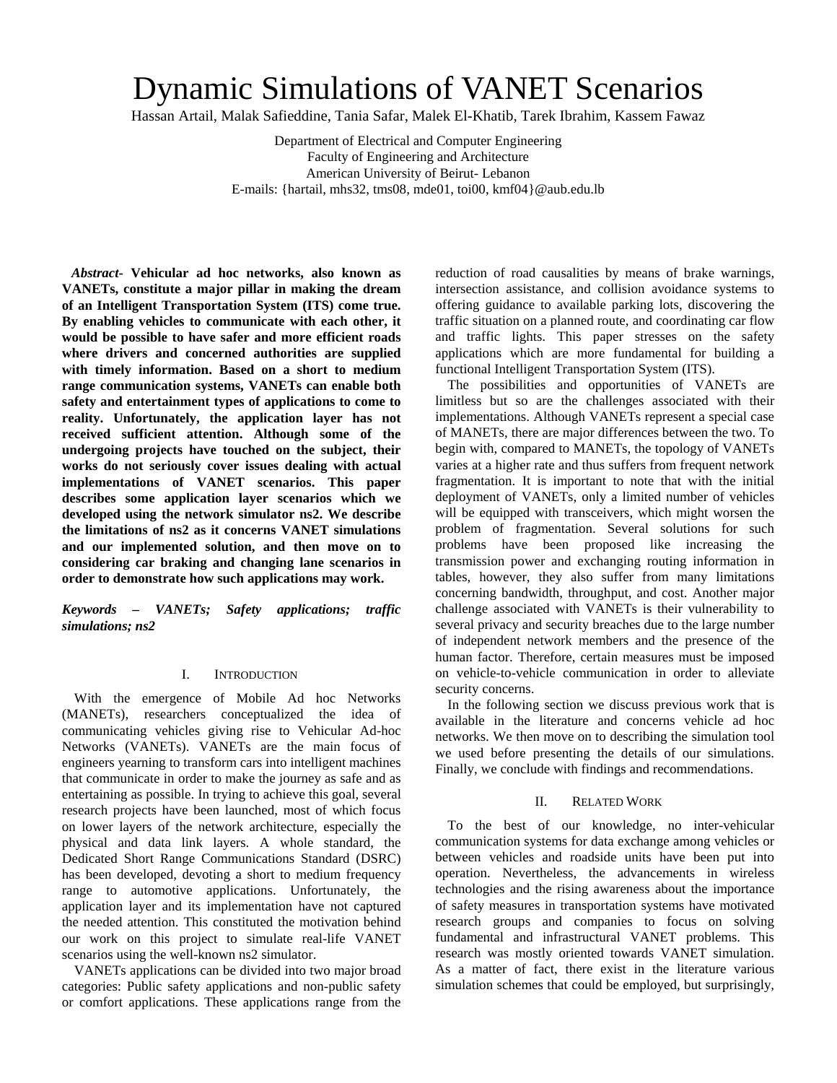# Dynamic Simulations of VANET Scenarios

Hassan Artail, Malak Safieddine, Tania Safar, Malek El-Khatib, Tarek Ibrahim, Kassem Fawaz

Department of Electrical and Computer Engineering Faculty of Engineering and Architecture American University of Beirut- Lebanon E-mails: {hartail, mhs32, tms08, mde01, toi00, kmf04}@aub.edu.lb

*Abstract***- Vehicular ad hoc networks, also known as VANETs, constitute a major pillar in making the dream of an Intelligent Transportation System (ITS) come true. By enabling vehicles to communicate with each other, it would be possible to have safer and more efficient roads where drivers and concerned authorities are supplied with timely information. Based on a short to medium range communication systems, VANETs can enable both safety and entertainment types of applications to come to reality. Unfortunately, the application layer has not received sufficient attention. Although some of the undergoing projects have touched on the subject, their works do not seriously cover issues dealing with actual implementations of VANET scenarios. This paper describes some application layer scenarios which we developed using the network simulator ns2. We describe the limitations of ns2 as it concerns VANET simulations and our implemented solution, and then move on to considering car braking and changing lane scenarios in order to demonstrate how such applications may work.**

*Keywords – VANETs; Safety applications; traffic simulations; ns2* 

## I. INTRODUCTION

With the emergence of Mobile Ad hoc Networks (MANETs), researchers conceptualized the idea of communicating vehicles giving rise to Vehicular Ad-hoc Networks (VANETs). VANETs are the main focus of engineers yearning to transform cars into intelligent machines that communicate in order to make the journey as safe and as entertaining as possible. In trying to achieve this goal, several research projects have been launched, most of which focus on lower layers of the network architecture, especially the physical and data link layers. A whole standard, the Dedicated Short Range Communications Standard (DSRC) has been developed, devoting a short to medium frequency range to automotive applications. Unfortunately, the application layer and its implementation have not captured the needed attention. This constituted the motivation behind our work on this project to simulate real-life VANET scenarios using the well-known ns2 simulator.

VANETs applications can be divided into two major broad categories: Public safety applications and non-public safety or comfort applications. These applications range from the

reduction of road causalities by means of brake warnings, intersection assistance, and collision avoidance systems to offering guidance to available parking lots, discovering the traffic situation on a planned route, and coordinating car flow and traffic lights. This paper stresses on the safety applications which are more fundamental for building a functional Intelligent Transportation System (ITS).

The possibilities and opportunities of VANETs are limitless but so are the challenges associated with their implementations. Although VANETs represent a special case of MANETs, there are major differences between the two. To begin with, compared to MANETs, the topology of VANETs varies at a higher rate and thus suffers from frequent network fragmentation. It is important to note that with the initial deployment of VANETs, only a limited number of vehicles will be equipped with transceivers, which might worsen the problem of fragmentation. Several solutions for such problems have been proposed like increasing the transmission power and exchanging routing information in tables, however, they also suffer from many limitations concerning bandwidth, throughput, and cost. Another major challenge associated with VANETs is their vulnerability to several privacy and security breaches due to the large number of independent network members and the presence of the human factor. Therefore, certain measures must be imposed on vehicle-to-vehicle communication in order to alleviate security concerns.

In the following section we discuss previous work that is available in the literature and concerns vehicle ad hoc networks. We then move on to describing the simulation tool we used before presenting the details of our simulations. Finally, we conclude with findings and recommendations.

## II. RELATED WORK

To the best of our knowledge, no inter-vehicular communication systems for data exchange among vehicles or between vehicles and roadside units have been put into operation. Nevertheless, the advancements in wireless technologies and the rising awareness about the importance of safety measures in transportation systems have motivated research groups and companies to focus on solving fundamental and infrastructural VANET problems. This research was mostly oriented towards VANET simulation. As a matter of fact, there exist in the literature various simulation schemes that could be employed, but surprisingly,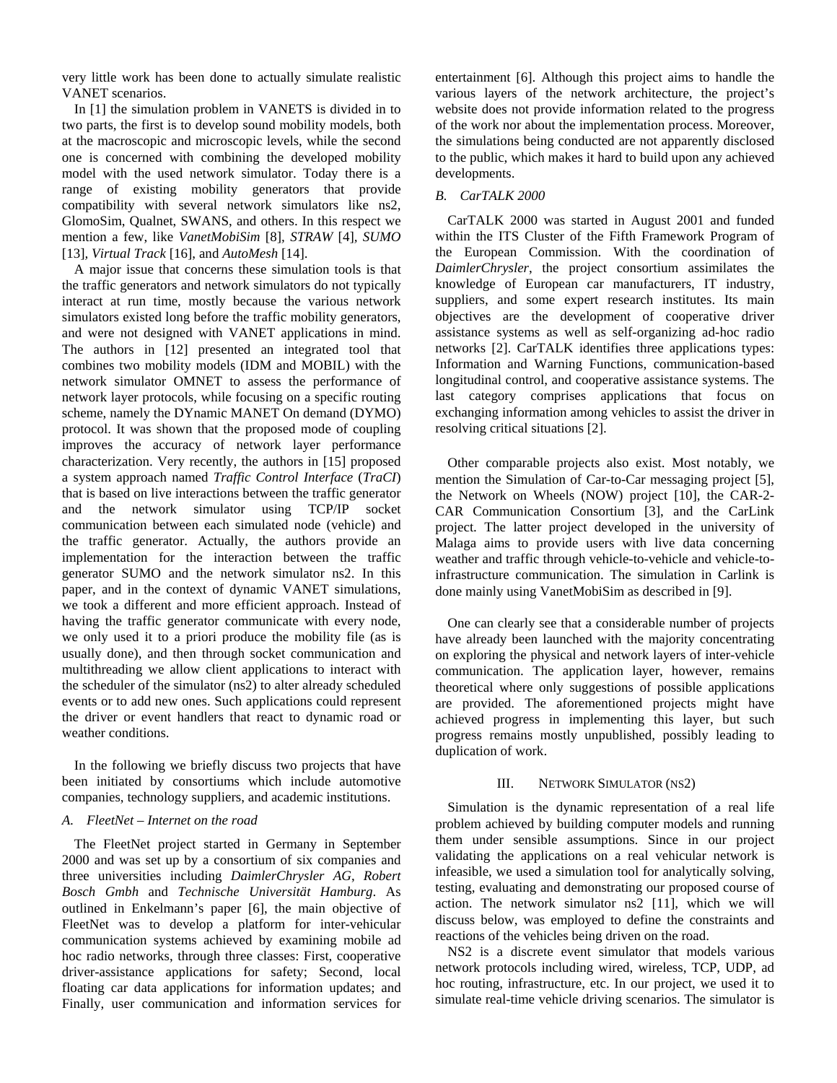very little work has been done to actually simulate realistic VANET scenarios.

In [1] the simulation problem in VANETS is divided in to two parts, the first is to develop sound mobility models, both at the macroscopic and microscopic levels, while the second one is concerned with combining the developed mobility model with the used network simulator. Today there is a range of existing mobility generators that provide compatibility with several network simulators like ns2, GlomoSim, Qualnet, SWANS, and others. In this respect we mention a few, like *VanetMobiSim* [8]*, STRAW* [4]*, SUMO* [13]*, Virtual Track* [16], and *AutoMesh* [14].

A major issue that concerns these simulation tools is that the traffic generators and network simulators do not typically interact at run time, mostly because the various network simulators existed long before the traffic mobility generators, and were not designed with VANET applications in mind. The authors in [12] presented an integrated tool that combines two mobility models (IDM and MOBIL) with the network simulator OMNET to assess the performance of network layer protocols, while focusing on a specific routing scheme, namely the DYnamic MANET On demand (DYMO) protocol. It was shown that the proposed mode of coupling improves the accuracy of network layer performance characterization. Very recently, the authors in [15] proposed a system approach named *Traffic Control Interface* (*TraCI*) that is based on live interactions between the traffic generator and the network simulator using TCP/IP socket communication between each simulated node (vehicle) and the traffic generator. Actually, the authors provide an implementation for the interaction between the traffic generator SUMO and the network simulator ns2. In this paper, and in the context of dynamic VANET simulations, we took a different and more efficient approach. Instead of having the traffic generator communicate with every node, we only used it to a priori produce the mobility file (as is usually done), and then through socket communication and multithreading we allow client applications to interact with the scheduler of the simulator (ns2) to alter already scheduled events or to add new ones. Such applications could represent the driver or event handlers that react to dynamic road or weather conditions.

In the following we briefly discuss two projects that have been initiated by consortiums which include automotive companies, technology suppliers, and academic institutions.

## *A. FleetNet – Internet on the road*

The FleetNet project started in Germany in September 2000 and was set up by a consortium of six companies and three universities including *DaimlerChrysler AG*, *Robert Bosch Gmbh* and *Technische Universität Hamburg*. As outlined in Enkelmann's paper [6], the main objective of FleetNet was to develop a platform for inter-vehicular communication systems achieved by examining mobile ad hoc radio networks, through three classes: First, cooperative driver-assistance applications for safety; Second, local floating car data applications for information updates; and Finally, user communication and information services for

entertainment [6]. Although this project aims to handle the various layers of the network architecture, the project's website does not provide information related to the progress of the work nor about the implementation process. Moreover, the simulations being conducted are not apparently disclosed to the public, which makes it hard to build upon any achieved developments.

## *B. CarTALK 2000*

CarTALK 2000 was started in August 2001 and funded within the ITS Cluster of the Fifth Framework Program of the European Commission. With the coordination of *DaimlerChrysler*, the project consortium assimilates the knowledge of European car manufacturers, IT industry, suppliers, and some expert research institutes. Its main objectives are the development of cooperative driver assistance systems as well as self-organizing ad-hoc radio networks [2]. CarTALK identifies three applications types: Information and Warning Functions, communication-based longitudinal control, and cooperative assistance systems. The last category comprises applications that focus on exchanging information among vehicles to assist the driver in resolving critical situations [2].

Other comparable projects also exist. Most notably, we mention the Simulation of Car-to-Car messaging project [5], the Network on Wheels (NOW) project [10], the CAR-2- CAR Communication Consortium [3], and the CarLink project. The latter project developed in the university of Malaga aims to provide users with live data concerning weather and traffic through vehicle-to-vehicle and vehicle-toinfrastructure communication. The simulation in Carlink is done mainly using VanetMobiSim as described in [9].

One can clearly see that a considerable number of projects have already been launched with the majority concentrating on exploring the physical and network layers of inter-vehicle communication. The application layer, however, remains theoretical where only suggestions of possible applications are provided. The aforementioned projects might have achieved progress in implementing this layer, but such progress remains mostly unpublished, possibly leading to duplication of work.

### III. NETWORK SIMULATOR (NS2)

Simulation is the dynamic representation of a real life problem achieved by building computer models and running them under sensible assumptions. Since in our project validating the applications on a real vehicular network is infeasible, we used a simulation tool for analytically solving, testing, evaluating and demonstrating our proposed course of action. The network simulator ns2 [11], which we will discuss below, was employed to define the constraints and reactions of the vehicles being driven on the road.

NS2 is a discrete event simulator that models various network protocols including wired, wireless, TCP, UDP, ad hoc routing, infrastructure, etc. In our project, we used it to simulate real-time vehicle driving scenarios. The simulator is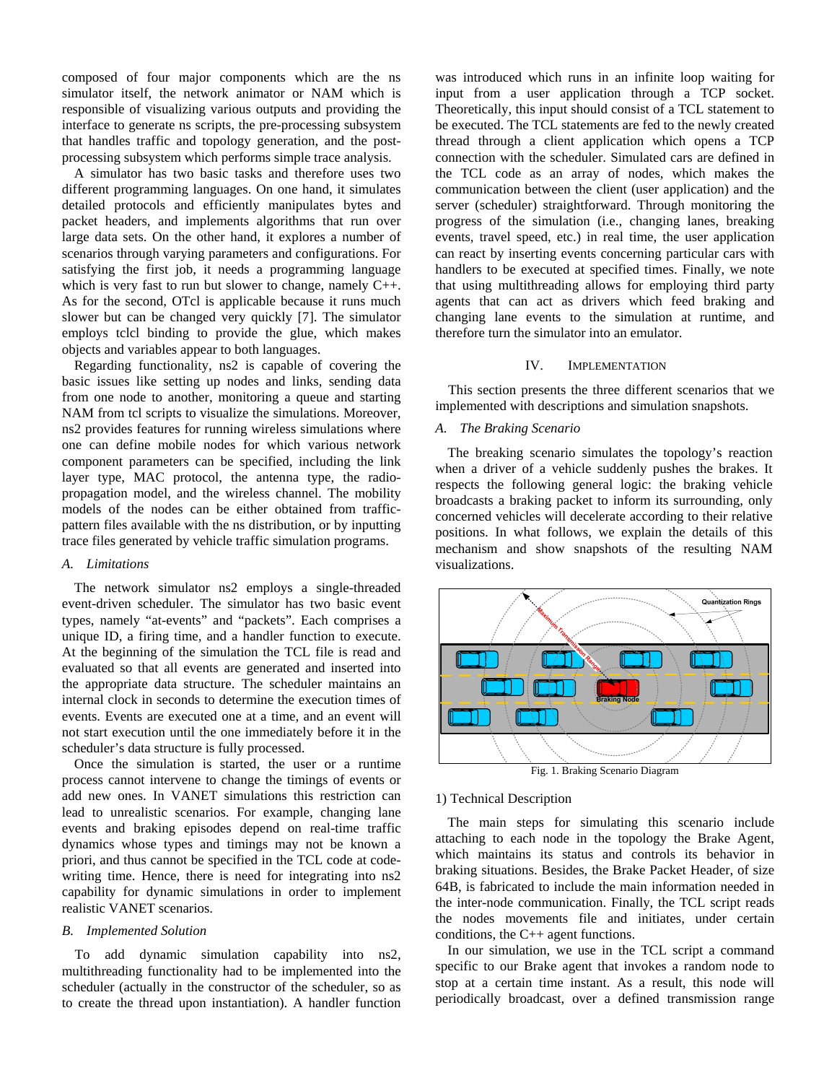composed of four major components which are the ns simulator itself, the network animator or NAM which is responsible of visualizing various outputs and providing the interface to generate ns scripts, the pre-processing subsystem that handles traffic and topology generation, and the postprocessing subsystem which performs simple trace analysis.

A simulator has two basic tasks and therefore uses two different programming languages. On one hand, it simulates detailed protocols and efficiently manipulates bytes and packet headers, and implements algorithms that run over large data sets. On the other hand, it explores a number of scenarios through varying parameters and configurations. For satisfying the first job, it needs a programming language which is very fast to run but slower to change, namely C++. As for the second, OTcl is applicable because it runs much slower but can be changed very quickly [7]. The simulator employs tclcl binding to provide the glue, which makes objects and variables appear to both languages.

Regarding functionality, ns2 is capable of covering the basic issues like setting up nodes and links, sending data from one node to another, monitoring a queue and starting NAM from tcl scripts to visualize the simulations. Moreover, ns2 provides features for running wireless simulations where one can define mobile nodes for which various network component parameters can be specified, including the link layer type, MAC protocol, the antenna type, the radiopropagation model, and the wireless channel. The mobility models of the nodes can be either obtained from trafficpattern files available with the ns distribution, or by inputting trace files generated by vehicle traffic simulation programs.

# *A. Limitations*

The network simulator ns2 employs a single-threaded event-driven scheduler. The simulator has two basic event types, namely "at-events" and "packets". Each comprises a unique ID, a firing time, and a handler function to execute. At the beginning of the simulation the TCL file is read and evaluated so that all events are generated and inserted into the appropriate data structure. The scheduler maintains an internal clock in seconds to determine the execution times of events. Events are executed one at a time, and an event will not start execution until the one immediately before it in the scheduler's data structure is fully processed.

Once the simulation is started, the user or a runtime process cannot intervene to change the timings of events or add new ones. In VANET simulations this restriction can lead to unrealistic scenarios. For example, changing lane events and braking episodes depend on real-time traffic dynamics whose types and timings may not be known a priori, and thus cannot be specified in the TCL code at codewriting time. Hence, there is need for integrating into ns2 capability for dynamic simulations in order to implement realistic VANET scenarios.

#### *B. Implemented Solution*

To add dynamic simulation capability into ns2, multithreading functionality had to be implemented into the scheduler (actually in the constructor of the scheduler, so as to create the thread upon instantiation). A handler function

was introduced which runs in an infinite loop waiting for input from a user application through a TCP socket. Theoretically, this input should consist of a TCL statement to be executed. The TCL statements are fed to the newly created thread through a client application which opens a TCP connection with the scheduler. Simulated cars are defined in the TCL code as an array of nodes, which makes the communication between the client (user application) and the server (scheduler) straightforward. Through monitoring the progress of the simulation (i.e., changing lanes, breaking events, travel speed, etc.) in real time, the user application can react by inserting events concerning particular cars with handlers to be executed at specified times. Finally, we note that using multithreading allows for employing third party agents that can act as drivers which feed braking and changing lane events to the simulation at runtime, and therefore turn the simulator into an emulator.

#### IV. IMPLEMENTATION

This section presents the three different scenarios that we implemented with descriptions and simulation snapshots.

# *A. The Braking Scenario*

The breaking scenario simulates the topology's reaction when a driver of a vehicle suddenly pushes the brakes. It respects the following general logic: the braking vehicle broadcasts a braking packet to inform its surrounding, only concerned vehicles will decelerate according to their relative positions. In what follows, we explain the details of this mechanism and show snapshots of the resulting NAM visualizations.



Fig. 1. Braking Scenario Diagram

# 1) Technical Description

The main steps for simulating this scenario include attaching to each node in the topology the Brake Agent, which maintains its status and controls its behavior in braking situations. Besides, the Brake Packet Header, of size 64B, is fabricated to include the main information needed in the inter-node communication. Finally, the TCL script reads the nodes movements file and initiates, under certain conditions, the C++ agent functions.

In our simulation, we use in the TCL script a command specific to our Brake agent that invokes a random node to stop at a certain time instant. As a result, this node will periodically broadcast, over a defined transmission range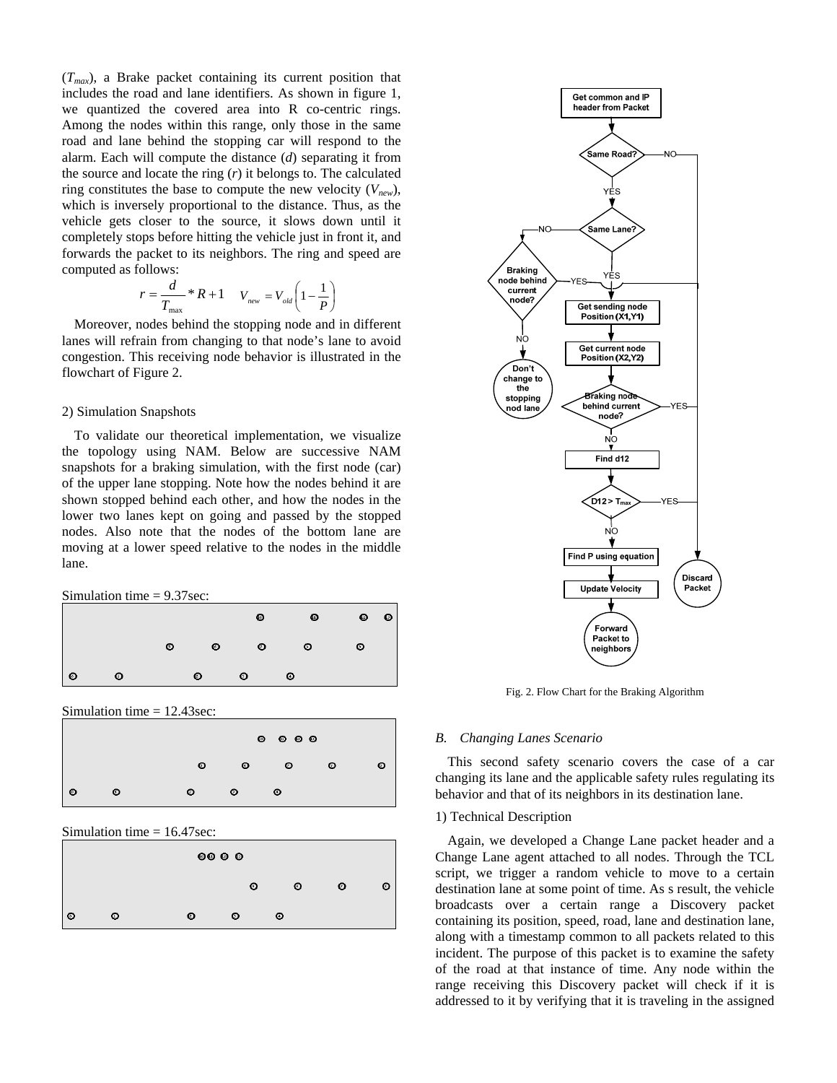$(T_{max})$ , a Brake packet containing its current position that includes the road and lane identifiers. As shown in figure 1, we quantized the covered area into R co-centric rings. Among the nodes within this range, only those in the same road and lane behind the stopping car will respond to the alarm. Each will compute the distance (*d*) separating it from the source and locate the ring (*r*) it belongs to. The calculated ring constitutes the base to compute the new velocity  $(V_{new})$ , which is inversely proportional to the distance. Thus, as the vehicle gets closer to the source, it slows down until it completely stops before hitting the vehicle just in front it, and forwards the packet to its neighbors. The ring and speed are computed as follows:

$$
r = \frac{d}{T_{\text{max}}} * R + 1 \qquad V_{\text{new}} = V_{\text{old}} \left( 1 - \frac{1}{P} \right)
$$

Moreover, nodes behind the stopping node and in different lanes will refrain from changing to that node's lane to avoid congestion. This receiving node behavior is illustrated in the flowchart of Figure 2.

## 2) Simulation Snapshots

To validate our theoretical implementation, we visualize the topology using NAM. Below are successive NAM snapshots for a braking simulation, with the first node (car) of the upper lane stopping. Note how the nodes behind it are shown stopped behind each other, and how the nodes in the lower two lanes kept on going and passed by the stopped nodes. Also note that the nodes of the bottom lane are moving at a lower speed relative to the nodes in the middle lane.

Simulation time = 9.37sec:



Simulation time = 12.43sec:



Simulation time = 16.47sec:

| $\circ\circ\circ$ |   |   |           |   |   |  |  |  |  |  |
|-------------------|---|---|-----------|---|---|--|--|--|--|--|
|                   |   |   | ⊙         | ⊙ | ๏ |  |  |  |  |  |
| ၊ စ               | ⊙ | ⊙ | $\bullet$ | ⊙ |   |  |  |  |  |  |



Fig. 2. Flow Chart for the Braking Algorithm

## *B. Changing Lanes Scenario*

This second safety scenario covers the case of a car changing its lane and the applicable safety rules regulating its behavior and that of its neighbors in its destination lane.

## 1) Technical Description

Again, we developed a Change Lane packet header and a Change Lane agent attached to all nodes. Through the TCL script, we trigger a random vehicle to move to a certain destination lane at some point of time. As s result, the vehicle broadcasts over a certain range a Discovery packet containing its position, speed, road, lane and destination lane, along with a timestamp common to all packets related to this incident. The purpose of this packet is to examine the safety of the road at that instance of time. Any node within the range receiving this Discovery packet will check if it is addressed to it by verifying that it is traveling in the assigned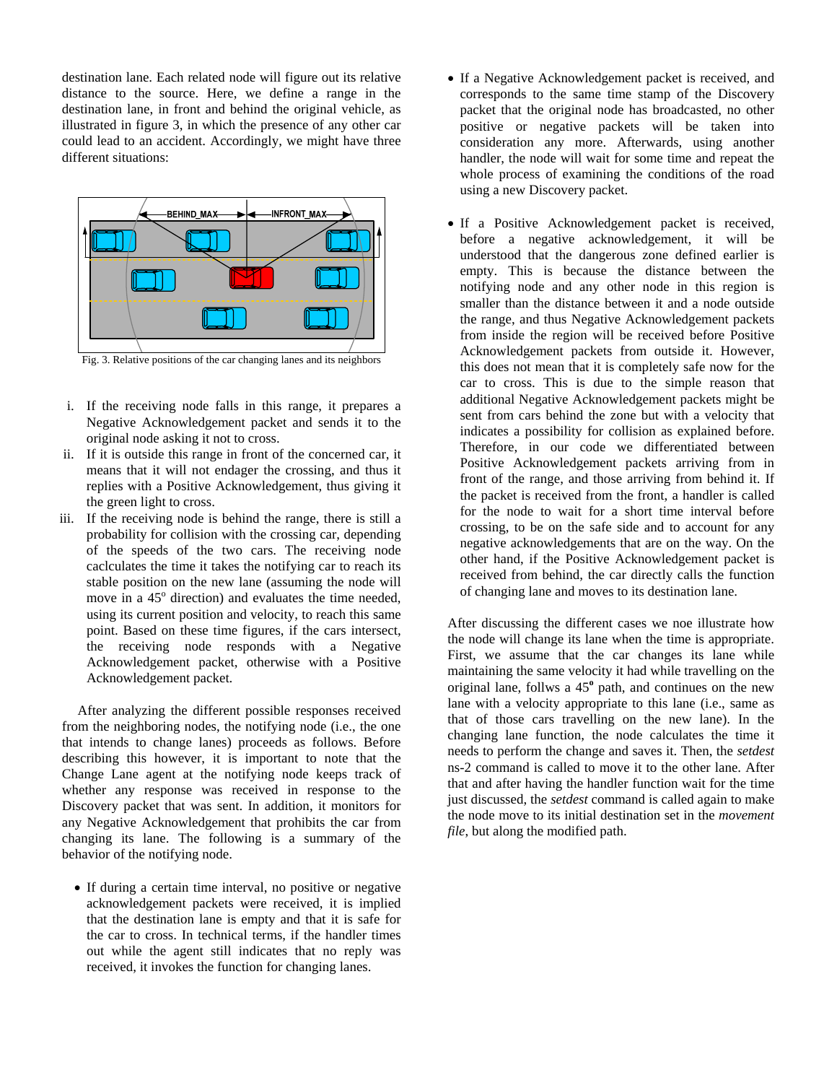destination lane. Each related node will figure out its relative distance to the source. Here, we define a range in the destination lane, in front and behind the original vehicle, as illustrated in figure 3, in which the presence of any other car could lead to an accident. Accordingly, we might have three different situations:



- i. If the receiving node falls in this range, it prepares a Negative Acknowledgement packet and sends it to the original node asking it not to cross.
- ii. If it is outside this range in front of the concerned car, it means that it will not endager the crossing, and thus it replies with a Positive Acknowledgement, thus giving it the green light to cross.
- iii. If the receiving node is behind the range, there is still a probability for collision with the crossing car, depending of the speeds of the two cars. The receiving node caclculates the time it takes the notifying car to reach its stable position on the new lane (assuming the node will move in a 45<sup>°</sup> direction) and evaluates the time needed, using its current position and velocity, to reach this same point. Based on these time figures, if the cars intersect, the receiving node responds with a Negative Acknowledgement packet, otherwise with a Positive Acknowledgement packet.

 After analyzing the different possible responses received from the neighboring nodes, the notifying node (i.e., the one that intends to change lanes) proceeds as follows. Before describing this however, it is important to note that the Change Lane agent at the notifying node keeps track of whether any response was received in response to the Discovery packet that was sent. In addition, it monitors for any Negative Acknowledgement that prohibits the car from changing its lane. The following is a summary of the behavior of the notifying node.

• If during a certain time interval, no positive or negative acknowledgement packets were received, it is implied that the destination lane is empty and that it is safe for the car to cross. In technical terms, if the handler times out while the agent still indicates that no reply was received, it invokes the function for changing lanes.

- If a Negative Acknowledgement packet is received, and corresponds to the same time stamp of the Discovery packet that the original node has broadcasted, no other positive or negative packets will be taken into consideration any more. Afterwards, using another handler, the node will wait for some time and repeat the whole process of examining the conditions of the road using a new Discovery packet.
- If a Positive Acknowledgement packet is received, before a negative acknowledgement, it will be understood that the dangerous zone defined earlier is empty. This is because the distance between the notifying node and any other node in this region is smaller than the distance between it and a node outside the range, and thus Negative Acknowledgement packets from inside the region will be received before Positive Acknowledgement packets from outside it. However, this does not mean that it is completely safe now for the car to cross. This is due to the simple reason that additional Negative Acknowledgement packets might be sent from cars behind the zone but with a velocity that indicates a possibility for collision as explained before. Therefore, in our code we differentiated between Positive Acknowledgement packets arriving from in front of the range, and those arriving from behind it. If the packet is received from the front, a handler is called for the node to wait for a short time interval before crossing, to be on the safe side and to account for any negative acknowledgements that are on the way. On the other hand, if the Positive Acknowledgement packet is received from behind, the car directly calls the function of changing lane and moves to its destination lane.

After discussing the different cases we noe illustrate how the node will change its lane when the time is appropriate. First, we assume that the car changes its lane while maintaining the same velocity it had while travelling on the original lane, follws a 45**<sup>o</sup>** path, and continues on the new lane with a velocity appropriate to this lane (i.e., same as that of those cars travelling on the new lane). In the changing lane function, the node calculates the time it needs to perform the change and saves it. Then, the *setdest* ns-2 command is called to move it to the other lane. After that and after having the handler function wait for the time just discussed, the *setdest* command is called again to make the node move to its initial destination set in the *movement file*, but along the modified path.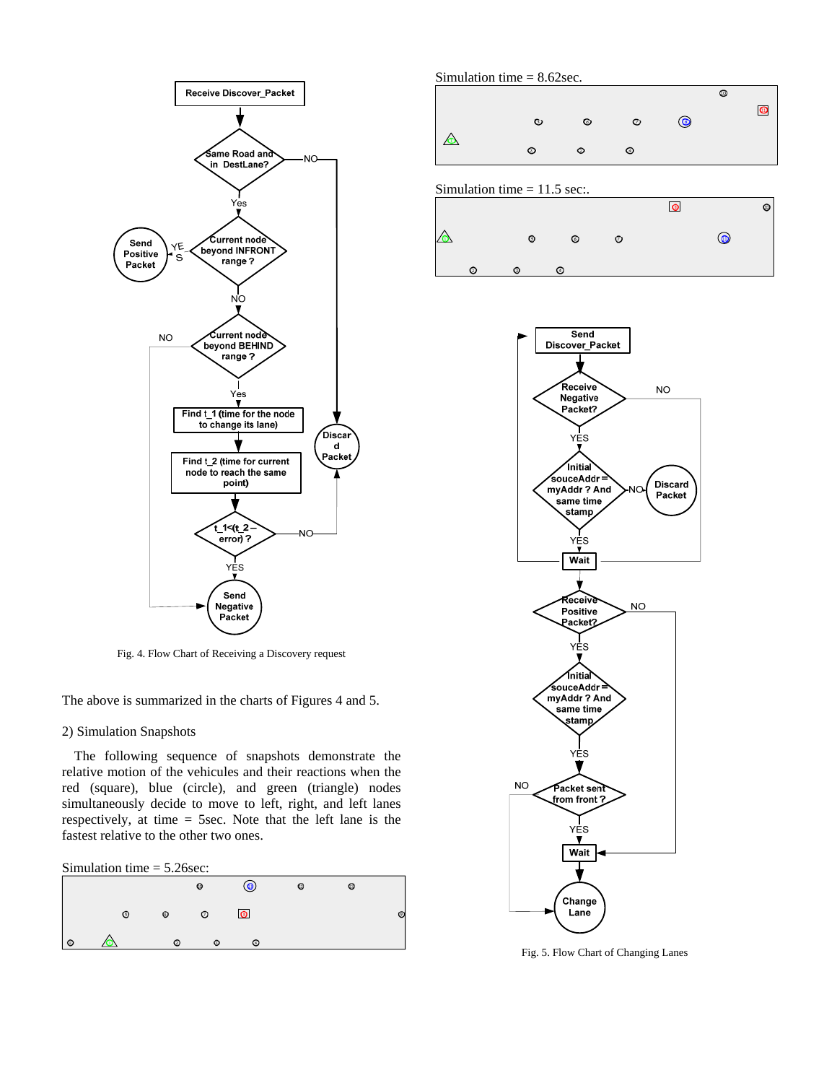

Fig. 4. Flow Chart of Receiving a Discovery request

The above is summarized in the charts of Figures 4 and 5.

## 2) Simulation Snapshots

The following sequence of snapshots demonstrate the relative motion of the vehicules and their reactions when the red (square), blue (circle), and green (triangle) nodes simultaneously decide to move to left, right, and left lanes respectively, at time = 5sec. Note that the left lane is the fastest relative to the other two ones.

## Simulation time = 5.26sec:

|         |   |         | $\bullet$ | $\bullet$ $\bullet$ | $\circ$ | $\circ$ |  |
|---------|---|---------|-----------|---------------------|---------|---------|--|
|         | ⊚ | $\circ$ | $\circ$   | $\odot$             |         |         |  |
| $\circ$ |   | $\circ$ | $\circ$   | $\circ$             |         |         |  |



Simulation time  $= 11.5$  sec:.





Fig. 5. Flow Chart of Changing Lanes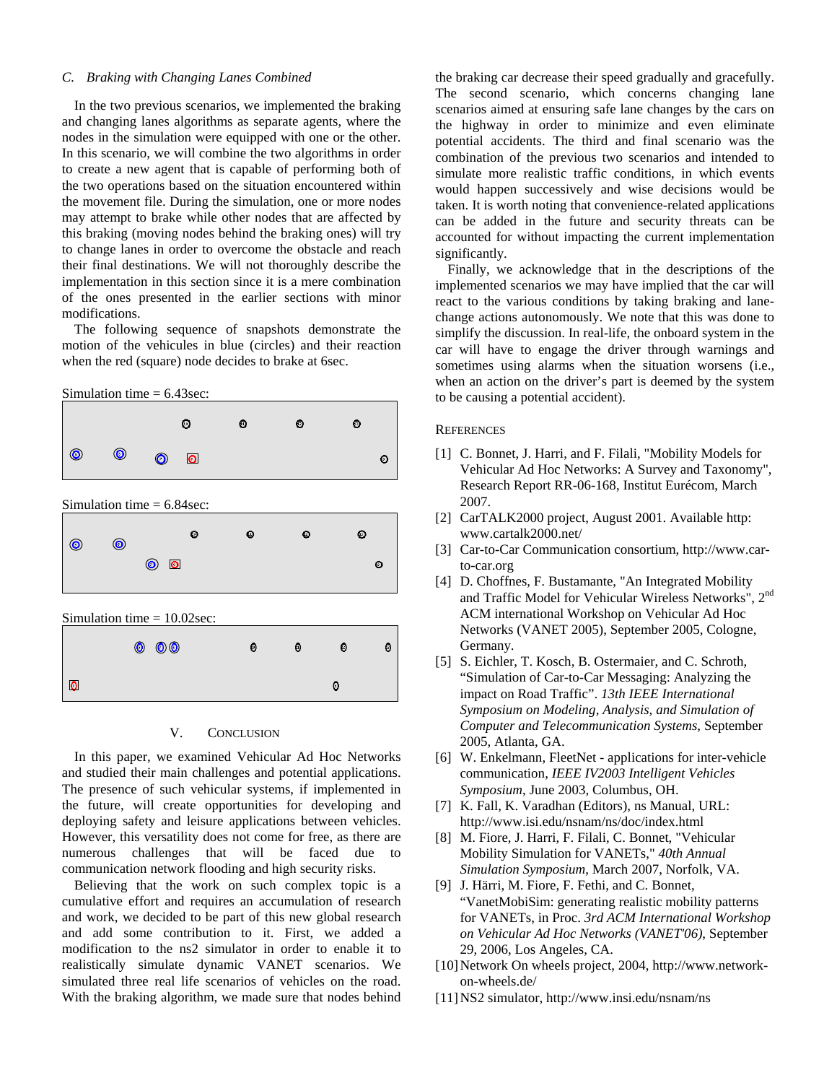## *C. Braking with Changing Lanes Combined*

In the two previous scenarios, we implemented the braking and changing lanes algorithms as separate agents, where the nodes in the simulation were equipped with one or the other. In this scenario, we will combine the two algorithms in order to create a new agent that is capable of performing both of the two operations based on the situation encountered within the movement file. During the simulation, one or more nodes may attempt to brake while other nodes that are affected by this braking (moving nodes behind the braking ones) will try to change lanes in order to overcome the obstacle and reach their final destinations. We will not thoroughly describe the implementation in this section since it is a mere combination of the ones presented in the earlier sections with minor modifications.

The following sequence of snapshots demonstrate the motion of the vehicules in blue (circles) and their reaction when the red (square) node decides to brake at 6sec.





### V. CONCLUSION

In this paper, we examined Vehicular Ad Hoc Networks and studied their main challenges and potential applications. The presence of such vehicular systems, if implemented in the future, will create opportunities for developing and deploying safety and leisure applications between vehicles. However, this versatility does not come for free, as there are numerous challenges that will be faced due to communication network flooding and high security risks.

Believing that the work on such complex topic is a cumulative effort and requires an accumulation of research and work, we decided to be part of this new global research and add some contribution to it. First, we added a modification to the ns2 simulator in order to enable it to realistically simulate dynamic VANET scenarios. We simulated three real life scenarios of vehicles on the road. With the braking algorithm, we made sure that nodes behind

the braking car decrease their speed gradually and gracefully. The second scenario, which concerns changing lane scenarios aimed at ensuring safe lane changes by the cars on the highway in order to minimize and even eliminate potential accidents. The third and final scenario was the combination of the previous two scenarios and intended to simulate more realistic traffic conditions, in which events would happen successively and wise decisions would be taken. It is worth noting that convenience-related applications can be added in the future and security threats can be accounted for without impacting the current implementation significantly.

Finally, we acknowledge that in the descriptions of the implemented scenarios we may have implied that the car will react to the various conditions by taking braking and lanechange actions autonomously. We note that this was done to simplify the discussion. In real-life, the onboard system in the car will have to engage the driver through warnings and sometimes using alarms when the situation worsens (i.e., when an action on the driver's part is deemed by the system to be causing a potential accident).

## **REFERENCES**

- [1] C. Bonnet, J. Harri, and F. Filali, "Mobility Models for Vehicular Ad Hoc Networks: A Survey and Taxonomy", Research Report RR-06-168, Institut Eurécom, March 2007.
- [2] CarTALK2000 project, August 2001. Available http: www.cartalk2000.net/
- [3] Car-to-Car Communication consortium, http://www.carto-car.org
- [4] D. Choffnes, F. Bustamante, "An Integrated Mobility and Traffic Model for Vehicular Wireless Networks", 2nd ACM international Workshop on Vehicular Ad Hoc Networks (VANET 2005), September 2005, Cologne, Germany.
- [5] S. Eichler, T. Kosch, B. Ostermaier, and C. Schroth, "Simulation of Car-to-Car Messaging: Analyzing the impact on Road Traffic". *13th IEEE International Symposium on Modeling, Analysis, and Simulation of Computer and Telecommunication Systems*, September 2005, Atlanta, GA.
- [6] W. Enkelmann, FleetNet applications for inter-vehicle communication, *IEEE IV2003 Intelligent Vehicles Symposium*, June 2003, Columbus, OH.
- [7] K. Fall, K. Varadhan (Editors), ns Manual, URL: http://www.isi.edu/nsnam/ns/doc/index.html
- [8] M. Fiore, J. Harri, F. Filali, C. Bonnet, "Vehicular Mobility Simulation for VANETs," *40th Annual Simulation Symposium*, March 2007, Norfolk, VA.
- [9] J. Härri, M. Fiore, F. Fethi, and C. Bonnet, "VanetMobiSim: generating realistic mobility patterns for VANETs, in Proc. *3rd ACM International Workshop on Vehicular Ad Hoc Networks (VANET'06)*, September 29, 2006, Los Angeles, CA.
- [10] Network On wheels project, 2004, http://www.networkon-wheels.de/
- [11]NS2 simulator, http://www.insi.edu/nsnam/ns